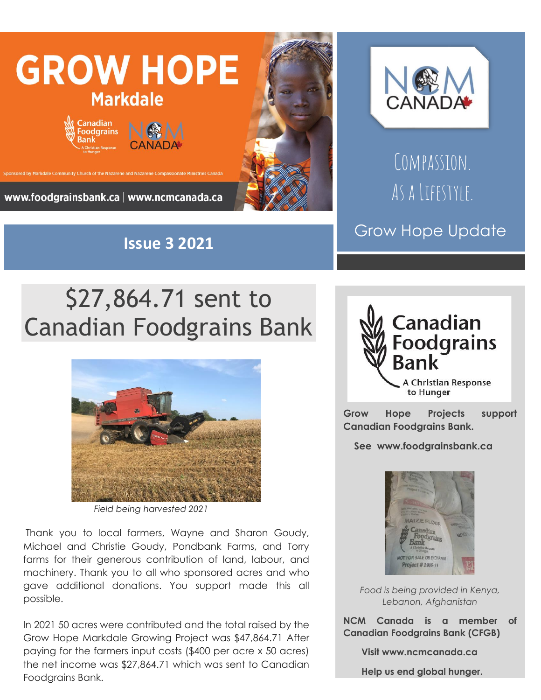





## Compassion. As a Lifestyle.

## Grow Hope Update

## \$27,864.71 sent to Canadian Foodgrains Bank



*Field being harvested 2021*

Thank you to local farmers, Wayne and Sharon Goudy, Michael and Christie Goudy, Pondbank Farms, and Torry farms for their generous contribution of land, labour, and machinery. Thank you to all who sponsored acres and who gave additional donations. You support made this all possible.

In 2021 50 acres were contributed and the total raised by the Grow Hope Markdale Growing Project was \$47,864.71 After paying for the farmers input costs (\$400 per acre x 50 acres) the net income was \$27,864.71 which was sent to Canadian Foodgrains Bank.



**Grow Hope Projects support Canadian Foodgrains Bank.** 

 **See www.foodgrainsbank.ca**



*Food is being provided in Kenya, Lebanon, Afghanistan*

**NCM Canada is a member of Canadian Foodgrains Bank (CFGB)**

 **Visit www.ncmcanada.ca**

 **Help us end global hunger.**